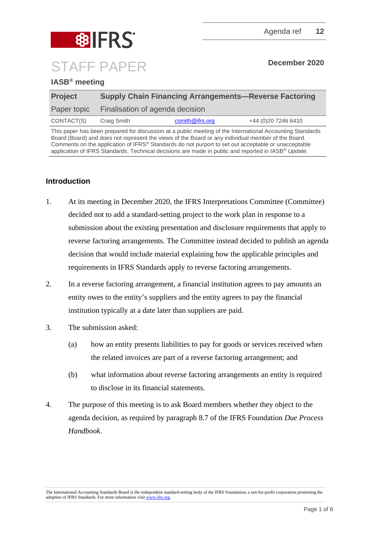



## **IASB® meeting**

| <b>Project</b> | <b>Supply Chain Financing Arrangements-Reverse Factoring</b> |                 |                      |
|----------------|--------------------------------------------------------------|-----------------|----------------------|
| Paper topic    | Finalisation of agenda decision                              |                 |                      |
| CONTACT(S)     | Craig Smith                                                  | csmith@ifrs.org | +44 (0) 20 7246 6410 |

This paper has been prepared for discussion at a public meeting of the International Accounting Standards Board (Board) and does not represent the views of the Board or any individual member of the Board. Comments on the application of IFRS® Standards do not purport to set out acceptable or unacceptable application of IFRS Standards. Technical decisions are made in public and reported in IASB® *Update*.

# **Introduction**

- 1. At its meeting in December 2020, the IFRS Interpretations Committee (Committee) decided not to add a standard-setting project to the work plan in response to a submission about the existing presentation and disclosure requirements that apply to reverse factoring arrangements. The Committee instead decided to publish an agenda decision that would include material explaining how the applicable principles and requirements in IFRS Standards apply to reverse factoring arrangements.
- 2. In a reverse factoring arrangement, a financial institution agrees to pay amounts an entity owes to the entity's suppliers and the entity agrees to pay the financial institution typically at a date later than suppliers are paid.
- 3. The submission asked:
	- (a) how an entity presents liabilities to pay for goods or services received when the related invoices are part of a reverse factoring arrangement; and
	- (b) what information about reverse factoring arrangements an entity is required to disclose in its financial statements.
- 4. The purpose of this meeting is to ask Board members whether they object to the agenda decision, as required by paragraph 8.7 of the IFRS Foundation *Due Process Handbook*.

The International Accounting Standards Board is the independent standard-setting body of the IFRS Foundation, a not-for-profit corporation promoting the adoption of IFRS Standards. For more information visit [www.ifrs.org.](http://www.ifrs.org/)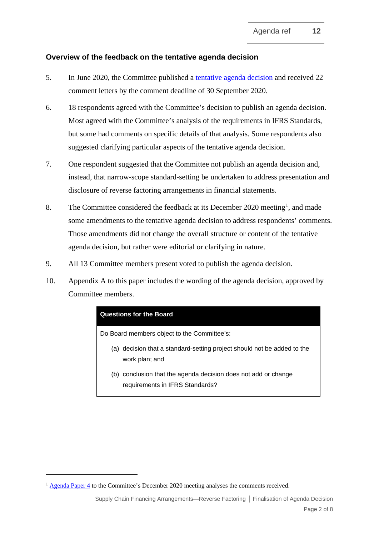## **Overview of the feedback on the tentative agenda decision**

- 5. In June 2020, the Committee published a [tentative agenda decision](https://www.ifrs.org/projects/work-plan/supply-chain-financing-arrangements-reverse-factoring/comment-letters-projects/tentative-agenda-decision-and-comment-letters/) and received 22 comment letters by the comment deadline of 30 September 2020.
- 6. 18 respondents agreed with the Committee's decision to publish an agenda decision. Most agreed with the Committee's analysis of the requirements in IFRS Standards, but some had comments on specific details of that analysis. Some respondents also suggested clarifying particular aspects of the tentative agenda decision.
- 7. One respondent suggested that the Committee not publish an agenda decision and, instead, that narrow-scope standard-setting be undertaken to address presentation and disclosure of reverse factoring arrangements in financial statements.
- 8. The Committee considered the feedback at its December 2020 meeting<sup>[1](#page-1-0)</sup>, and made some amendments to the tentative agenda decision to address respondents' comments. Those amendments did not change the overall structure or content of the tentative agenda decision, but rather were editorial or clarifying in nature.
- 9. All 13 Committee members present voted to publish the agenda decision.
- 10. Appendix A to this paper includes the wording of the agenda decision, approved by Committee members.

#### **Questions for the Board**

Do Board members object to the Committee's:

- (a) decision that a standard-setting project should not be added to the work plan; and
- (b) conclusion that the agenda decision does not add or change requirements in IFRS Standards?

<span id="page-1-0"></span><sup>&</sup>lt;sup>1</sup> [Agenda Paper 4](https://cdn.ifrs.org/-/media/feature/meetings/2020/december/ifric/ap04-supply-chain-financing.pdf) to the Committee's December 2020 meeting analyses the comments received.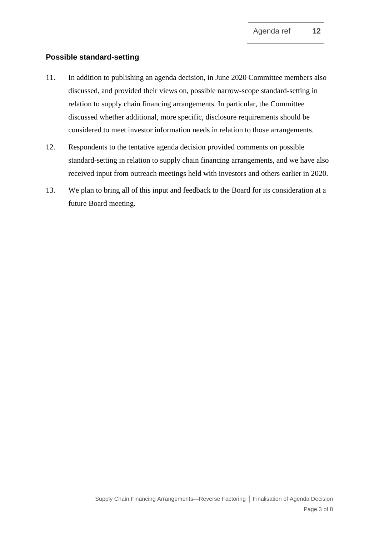## **Possible standard-setting**

- 11. In addition to publishing an agenda decision, in June 2020 Committee members also discussed, and provided their views on, possible narrow-scope standard-setting in relation to supply chain financing arrangements. In particular, the Committee discussed whether additional, more specific, disclosure requirements should be considered to meet investor information needs in relation to those arrangements.
- 12. Respondents to the tentative agenda decision provided comments on possible standard-setting in relation to supply chain financing arrangements, and we have also received input from outreach meetings held with investors and others earlier in 2020.
- 13. We plan to bring all of this input and feedback to the Board for its consideration at a future Board meeting.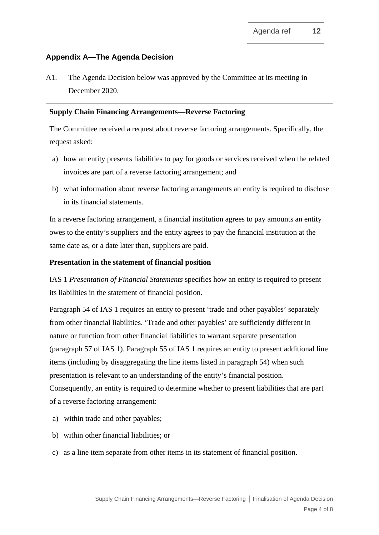## **Appendix A—The Agenda Decision**

A1. The Agenda Decision below was approved by the Committee at its meeting in December 2020.

#### **Supply Chain Financing Arrangements—Reverse Factoring**

The Committee received a request about reverse factoring arrangements. Specifically, the request asked:

- a) how an entity presents liabilities to pay for goods or services received when the related invoices are part of a reverse factoring arrangement; and
- b) what information about reverse factoring arrangements an entity is required to disclose in its financial statements.

In a reverse factoring arrangement, a financial institution agrees to pay amounts an entity owes to the entity's suppliers and the entity agrees to pay the financial institution at the same date as, or a date later than, suppliers are paid.

#### **Presentation in the statement of financial position**

IAS 1 *Presentation of Financial Statements* specifies how an entity is required to present its liabilities in the statement of financial position.

Paragraph 54 of IAS 1 requires an entity to present 'trade and other payables' separately from other financial liabilities. 'Trade and other payables' are sufficiently different in nature or function from other financial liabilities to warrant separate presentation (paragraph 57 of IAS 1). Paragraph 55 of IAS 1 requires an entity to present additional line items (including by disaggregating the line items listed in paragraph 54) when such presentation is relevant to an understanding of the entity's financial position. Consequently, an entity is required to determine whether to present liabilities that are part of a reverse factoring arrangement:

- a) within trade and other payables;
- b) within other financial liabilities; or
- c) as a line item separate from other items in its statement of financial position.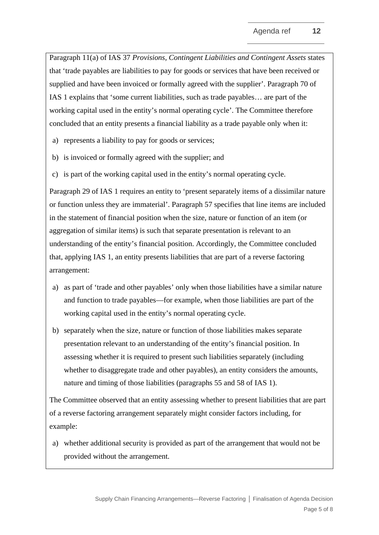Paragraph 11(a) of IAS 37 *Provisions, Contingent Liabilities and Contingent Assets* states that 'trade payables are liabilities to pay for goods or services that have been received or supplied and have been invoiced or formally agreed with the supplier'. Paragraph 70 of IAS 1 explains that 'some current liabilities, such as trade payables… are part of the working capital used in the entity's normal operating cycle'. The Committee therefore concluded that an entity presents a financial liability as a trade payable only when it:

- a) represents a liability to pay for goods or services;
- b) is invoiced or formally agreed with the supplier; and
- c) is part of the working capital used in the entity's normal operating cycle.

Paragraph 29 of IAS 1 requires an entity to 'present separately items of a dissimilar nature or function unless they are immaterial'. Paragraph 57 specifies that line items are included in the statement of financial position when the size, nature or function of an item (or aggregation of similar items) is such that separate presentation is relevant to an understanding of the entity's financial position. Accordingly, the Committee concluded that, applying IAS 1, an entity presents liabilities that are part of a reverse factoring arrangement:

- a) as part of 'trade and other payables' only when those liabilities have a similar nature and function to trade payables—for example, when those liabilities are part of the working capital used in the entity's normal operating cycle.
- b) separately when the size, nature or function of those liabilities makes separate presentation relevant to an understanding of the entity's financial position. In assessing whether it is required to present such liabilities separately (including whether to disaggregate trade and other payables), an entity considers the amounts, nature and timing of those liabilities (paragraphs 55 and 58 of IAS 1).

The Committee observed that an entity assessing whether to present liabilities that are part of a reverse factoring arrangement separately might consider factors including, for example:

a) whether additional security is provided as part of the arrangement that would not be provided without the arrangement.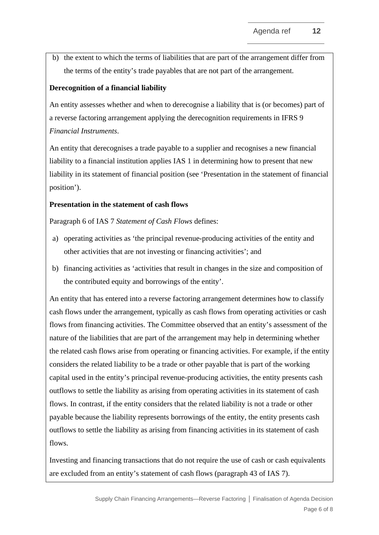b) the extent to which the terms of liabilities that are part of the arrangement differ from the terms of the entity's trade payables that are not part of the arrangement.

## **Derecognition of a financial liability**

An entity assesses whether and when to derecognise a liability that is (or becomes) part of a reverse factoring arrangement applying the derecognition requirements in IFRS 9 *Financial Instruments*.

An entity that derecognises a trade payable to a supplier and recognises a new financial liability to a financial institution applies IAS 1 in determining how to present that new liability in its statement of financial position (see 'Presentation in the statement of financial position').

#### **Presentation in the statement of cash flows**

Paragraph 6 of IAS 7 *Statement of Cash Flows* defines:

- a) operating activities as 'the principal revenue-producing activities of the entity and other activities that are not investing or financing activities'; and
- b) financing activities as 'activities that result in changes in the size and composition of the contributed equity and borrowings of the entity'.

An entity that has entered into a reverse factoring arrangement determines how to classify cash flows under the arrangement, typically as cash flows from operating activities or cash flows from financing activities. The Committee observed that an entity's assessment of the nature of the liabilities that are part of the arrangement may help in determining whether the related cash flows arise from operating or financing activities. For example, if the entity considers the related liability to be a trade or other payable that is part of the working capital used in the entity's principal revenue-producing activities, the entity presents cash outflows to settle the liability as arising from operating activities in its statement of cash flows. In contrast, if the entity considers that the related liability is not a trade or other payable because the liability represents borrowings of the entity, the entity presents cash outflows to settle the liability as arising from financing activities in its statement of cash flows.

Investing and financing transactions that do not require the use of cash or cash equivalents are excluded from an entity's statement of cash flows (paragraph 43 of IAS 7).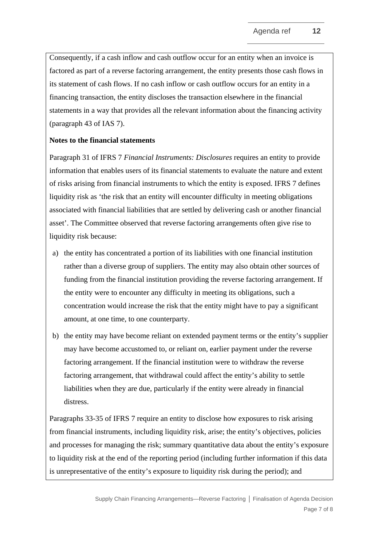Consequently, if a cash inflow and cash outflow occur for an entity when an invoice is factored as part of a reverse factoring arrangement, the entity presents those cash flows in its statement of cash flows. If no cash inflow or cash outflow occurs for an entity in a financing transaction, the entity discloses the transaction elsewhere in the financial statements in a way that provides all the relevant information about the financing activity (paragraph 43 of IAS 7).

#### **Notes to the financial statements**

Paragraph 31 of IFRS 7 *Financial Instruments: Disclosures* requires an entity to provide information that enables users of its financial statements to evaluate the nature and extent of risks arising from financial instruments to which the entity is exposed. IFRS 7 defines liquidity risk as 'the risk that an entity will encounter difficulty in meeting obligations associated with financial liabilities that are settled by delivering cash or another financial asset'. The Committee observed that reverse factoring arrangements often give rise to liquidity risk because:

- a) the entity has concentrated a portion of its liabilities with one financial institution rather than a diverse group of suppliers. The entity may also obtain other sources of funding from the financial institution providing the reverse factoring arrangement. If the entity were to encounter any difficulty in meeting its obligations, such a concentration would increase the risk that the entity might have to pay a significant amount, at one time, to one counterparty.
- b) the entity may have become reliant on extended payment terms or the entity's supplier may have become accustomed to, or reliant on, earlier payment under the reverse factoring arrangement. If the financial institution were to withdraw the reverse factoring arrangement, that withdrawal could affect the entity's ability to settle liabilities when they are due, particularly if the entity were already in financial distress.

Paragraphs 33-35 of IFRS 7 require an entity to disclose how exposures to risk arising from financial instruments, including liquidity risk, arise; the entity's objectives, policies and processes for managing the risk; summary quantitative data about the entity's exposure to liquidity risk at the end of the reporting period (including further information if this data is unrepresentative of the entity's exposure to liquidity risk during the period); and